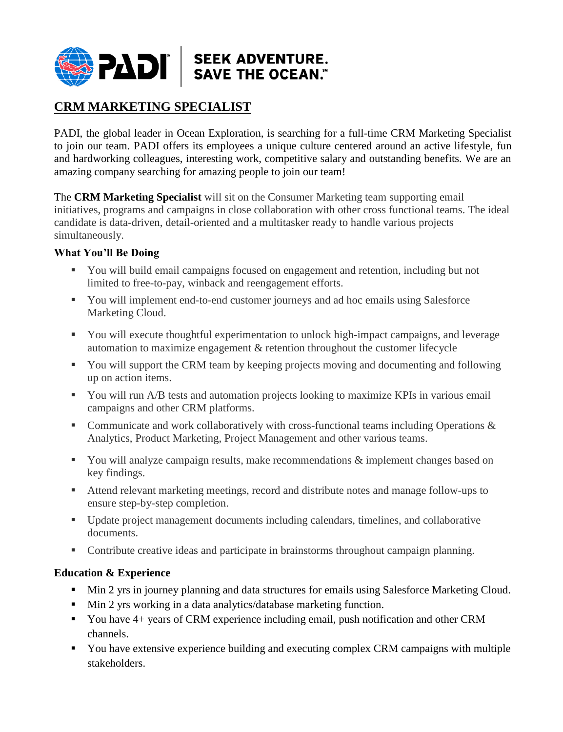

## **CRM MARKETING SPECIALIST**

PADI, the global leader in Ocean Exploration, is searching for a full-time CRM Marketing Specialist to join our team. PADI offers its employees a unique culture centered around an active lifestyle, fun and hardworking colleagues, interesting work, competitive salary and outstanding benefits. We are an amazing company searching for amazing people to join our team!

The **CRM Marketing Specialist** will sit on the Consumer Marketing team supporting email initiatives, programs and campaigns in close collaboration with other cross functional teams. The ideal candidate is data-driven, detail-oriented and a multitasker ready to handle various projects simultaneously.

## **What You'll Be Doing**

- You will build email campaigns focused on engagement and retention, including but not limited to free-to-pay, winback and reengagement efforts.
- You will implement end-to-end customer journeys and ad hoc emails using Salesforce Marketing Cloud.
- You will execute thoughtful experimentation to unlock high-impact campaigns, and leverage automation to maximize engagement & retention throughout the customer lifecycle
- You will support the CRM team by keeping projects moving and documenting and following up on action items.
- You will run A/B tests and automation projects looking to maximize KPIs in various email campaigns and other CRM platforms.
- Communicate and work collaboratively with cross-functional teams including Operations  $\&$ Analytics, Product Marketing, Project Management and other various teams.
- You will analyze campaign results, make recommendations & implement changes based on key findings.
- Attend relevant marketing meetings, record and distribute notes and manage follow-ups to ensure step-by-step completion.
- Update project management documents including calendars, timelines, and collaborative documents.
- Contribute creative ideas and participate in brainstorms throughout campaign planning.

## **Education & Experience**

- Min 2 yrs in journey planning and data structures for emails using Salesforce Marketing Cloud.
- Min 2 yrs working in a data analytics/database marketing function.
- You have 4+ years of CRM experience including email, push notification and other CRM channels.
- You have extensive experience building and executing complex CRM campaigns with multiple stakeholders.